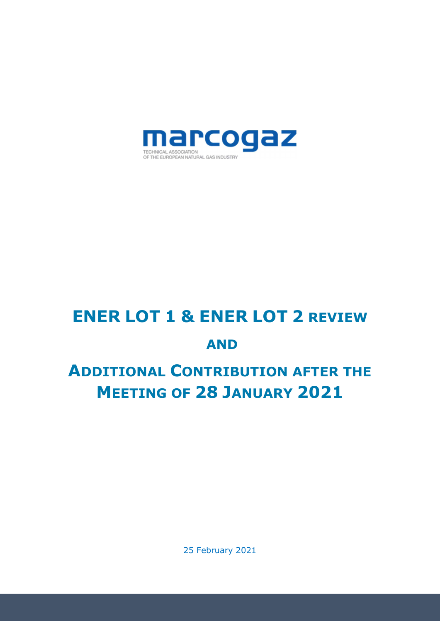

# ENER LOT 1 & ENER LOT 2 REVIEW AND

# ADDITIONAL CONTRIBUTION AFTER THE MEETING OF 28 JANUARY 2021

25 February 2021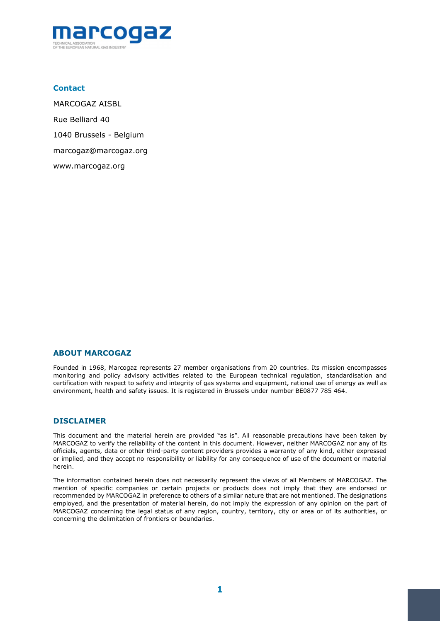

#### **Contact**

MARCOGAZ AISBL Rue Belliard 40 1040 Brussels - Belgium marcogaz@marcogaz.org www.marcogaz.org

#### ABOUT MARCOGAZ

Founded in 1968, Marcogaz represents 27 member organisations from 20 countries. Its mission encompasses monitoring and policy advisory activities related to the European technical regulation, standardisation and certification with respect to safety and integrity of gas systems and equipment, rational use of energy as well as environment, health and safety issues. It is registered in Brussels under number BE0877 785 464.

#### **DISCLAIMER**

This document and the material herein are provided "as is". All reasonable precautions have been taken by MARCOGAZ to verify the reliability of the content in this document. However, neither MARCOGAZ nor any of its officials, agents, data or other third-party content providers provides a warranty of any kind, either expressed or implied, and they accept no responsibility or liability for any consequence of use of the document or material herein.

The information contained herein does not necessarily represent the views of all Members of MARCOGAZ. The mention of specific companies or certain projects or products does not imply that they are endorsed or recommended by MARCOGAZ in preference to others of a similar nature that are not mentioned. The designations employed, and the presentation of material herein, do not imply the expression of any opinion on the part of MARCOGAZ concerning the legal status of any region, country, territory, city or area or of its authorities, or concerning the delimitation of frontiers or boundaries.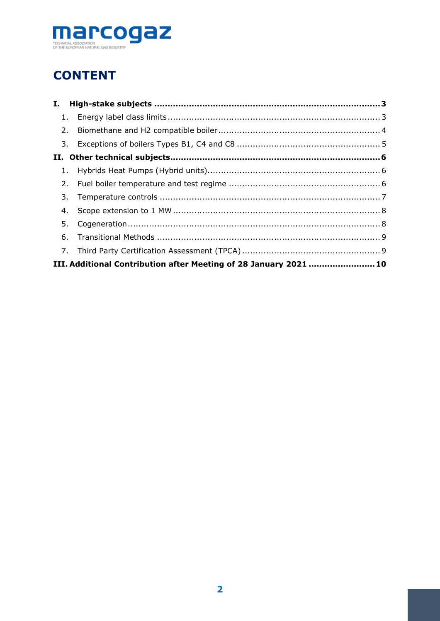

# **CONTENT**

| Ι. |                                                                   |  |
|----|-------------------------------------------------------------------|--|
|    |                                                                   |  |
| 2. |                                                                   |  |
|    |                                                                   |  |
|    |                                                                   |  |
|    |                                                                   |  |
|    |                                                                   |  |
| 3. |                                                                   |  |
| 4. |                                                                   |  |
| 5. |                                                                   |  |
| 6. |                                                                   |  |
|    |                                                                   |  |
|    | III. Additional Contribution after Meeting of 28 January 2021  10 |  |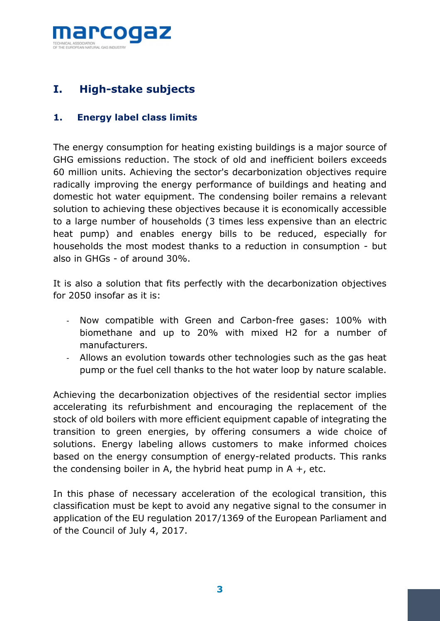

## I. High-stake subjects

#### 1. Energy label class limits

The energy consumption for heating existing buildings is a major source of GHG emissions reduction. The stock of old and inefficient boilers exceeds 60 million units. Achieving the sector's decarbonization objectives require radically improving the energy performance of buildings and heating and domestic hot water equipment. The condensing boiler remains a relevant solution to achieving these objectives because it is economically accessible to a large number of households (3 times less expensive than an electric heat pump) and enables energy bills to be reduced, especially for households the most modest thanks to a reduction in consumption - but also in GHGs - of around 30%.

It is also a solution that fits perfectly with the decarbonization objectives for 2050 insofar as it is:

- Now compatible with Green and Carbon-free gases: 100% with biomethane and up to 20% with mixed H2 for a number of manufacturers.
- Allows an evolution towards other technologies such as the gas heat pump or the fuel cell thanks to the hot water loop by nature scalable.

Achieving the decarbonization objectives of the residential sector implies accelerating its refurbishment and encouraging the replacement of the stock of old boilers with more efficient equipment capable of integrating the transition to green energies, by offering consumers a wide choice of solutions. Energy labeling allows customers to make informed choices based on the energy consumption of energy-related products. This ranks the condensing boiler in A, the hybrid heat pump in  $A +$ , etc.

In this phase of necessary acceleration of the ecological transition, this classification must be kept to avoid any negative signal to the consumer in application of the EU regulation 2017/1369 of the European Parliament and of the Council of July 4, 2017.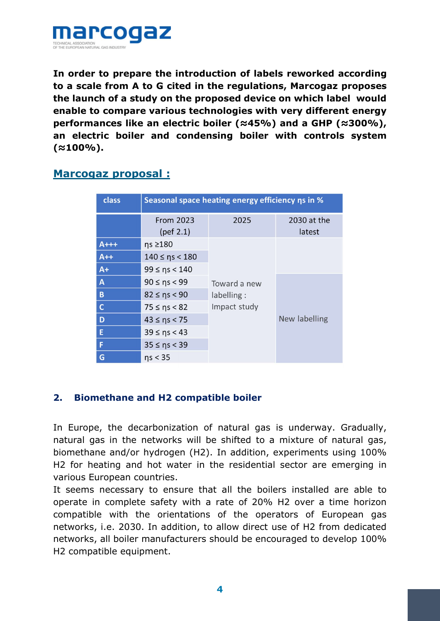

In order to prepare the introduction of labels reworked according to a scale from A to G cited in the regulations, Marcogaz proposes the launch of a study on the proposed device on which label would enable to compare various technologies with very different energy performances like an electric boiler ( $\approx$ 45%) and a GHP ( $\approx$ 300%), an electric boiler and condensing boiler with controls system  $(z100\%)$ .

#### Marcogaz proposal :

| class       | Seasonal space heating energy efficiency ns in % |                                            |                       |  |
|-------------|--------------------------------------------------|--------------------------------------------|-----------------------|--|
|             | <b>From 2023</b><br>$(\text{ref } 2.1)$          | 2025                                       | 2030 at the<br>latest |  |
| $A++$       | ns ≥180                                          | Toward a new<br>labelling:<br>Impact study |                       |  |
| $A++$       | $140 \leq nS < 180$                              |                                            |                       |  |
| $A+$        | $99 \leq nS < 140$                               |                                            |                       |  |
| A           | $90 \leq nS < 99$                                |                                            | New labelling         |  |
| $\mathbf B$ | $82 \leq nS < 90$                                |                                            |                       |  |
| $\mathbf C$ | $75 \leq n_s < 82$                               |                                            |                       |  |
| D           | $43 \leq nS < 75$                                |                                            |                       |  |
| E           | $39 \leq nS < 43$                                |                                            |                       |  |
| F           | $35 \leq nS < 39$                                |                                            |                       |  |
| G           | ns < 35                                          |                                            |                       |  |

#### 2. Biomethane and H2 compatible boiler

In Europe, the decarbonization of natural gas is underway. Gradually, natural gas in the networks will be shifted to a mixture of natural gas, biomethane and/or hydrogen (H2). In addition, experiments using 100% H2 for heating and hot water in the residential sector are emerging in various European countries.

It seems necessary to ensure that all the boilers installed are able to operate in complete safety with a rate of 20% H2 over a time horizon compatible with the orientations of the operators of European gas networks, i.e. 2030. In addition, to allow direct use of H2 from dedicated networks, all boiler manufacturers should be encouraged to develop 100% H2 compatible equipment.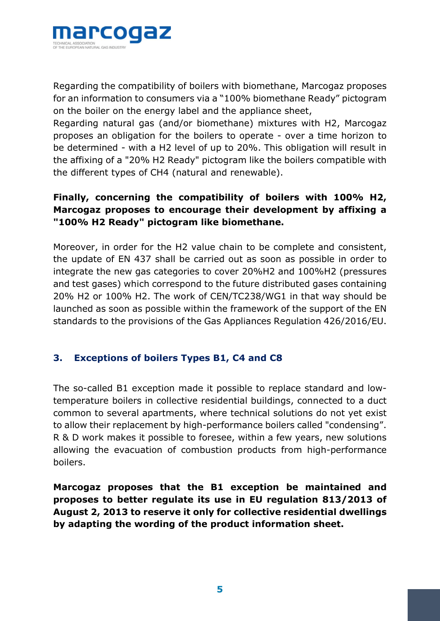

Regarding the compatibility of boilers with biomethane, Marcogaz proposes for an information to consumers via a "100% biomethane Ready" pictogram on the boiler on the energy label and the appliance sheet,

Regarding natural gas (and/or biomethane) mixtures with H2, Marcogaz proposes an obligation for the boilers to operate - over a time horizon to be determined - with a H2 level of up to 20%. This obligation will result in the affixing of a "20% H2 Ready" pictogram like the boilers compatible with the different types of CH4 (natural and renewable).

#### Finally, concerning the compatibility of boilers with 100% H2, Marcogaz proposes to encourage their development by affixing a "100% H2 Ready" pictogram like biomethane.

Moreover, in order for the H2 value chain to be complete and consistent, the update of EN 437 shall be carried out as soon as possible in order to integrate the new gas categories to cover 20%H2 and 100%H2 (pressures and test gases) which correspond to the future distributed gases containing 20% H2 or 100% H2. The work of CEN/TC238/WG1 in that way should be launched as soon as possible within the framework of the support of the EN standards to the provisions of the Gas Appliances Regulation 426/2016/EU.

#### 3. Exceptions of boilers Types B1, C4 and C8

The so-called B1 exception made it possible to replace standard and lowtemperature boilers in collective residential buildings, connected to a duct common to several apartments, where technical solutions do not yet exist to allow their replacement by high-performance boilers called "condensing". R & D work makes it possible to foresee, within a few years, new solutions allowing the evacuation of combustion products from high-performance boilers.

Marcogaz proposes that the B1 exception be maintained and proposes to better regulate its use in EU regulation 813/2013 of August 2, 2013 to reserve it only for collective residential dwellings by adapting the wording of the product information sheet.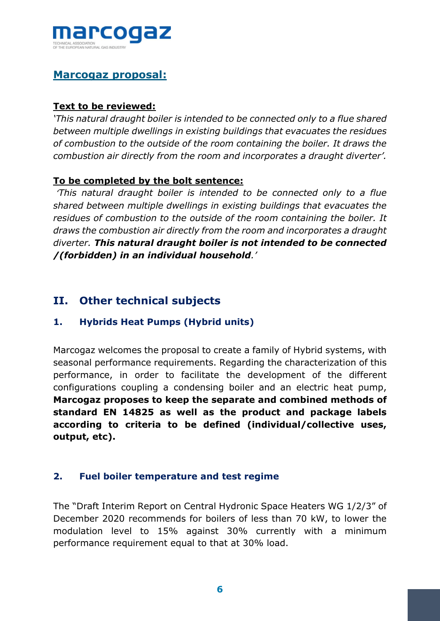

### Marcogaz proposal:

#### Text to be reviewed:

'This natural draught boiler is intended to be connected only to a flue shared between multiple dwellings in existing buildings that evacuates the residues of combustion to the outside of the room containing the boiler. It draws the combustion air directly from the room and incorporates a draught diverter'.

#### To be completed by the bolt sentence:

'This natural draught boiler is intended to be connected only to a flue shared between multiple dwellings in existing buildings that evacuates the residues of combustion to the outside of the room containing the boiler. It draws the combustion air directly from the room and incorporates a draught diverter. This natural draught boiler is not intended to be connected /(forbidden) in an individual household.'

#### II. Other technical subjects

#### 1. Hybrids Heat Pumps (Hybrid units)

Marcogaz welcomes the proposal to create a family of Hybrid systems, with seasonal performance requirements. Regarding the characterization of this performance, in order to facilitate the development of the different configurations coupling a condensing boiler and an electric heat pump, Marcogaz proposes to keep the separate and combined methods of standard EN 14825 as well as the product and package labels according to criteria to be defined (individual/collective uses, output, etc).

#### 2. Fuel boiler temperature and test regime

The "Draft Interim Report on Central Hydronic Space Heaters WG 1/2/3" of December 2020 recommends for boilers of less than 70 kW, to lower the modulation level to 15% against 30% currently with a minimum performance requirement equal to that at 30% load.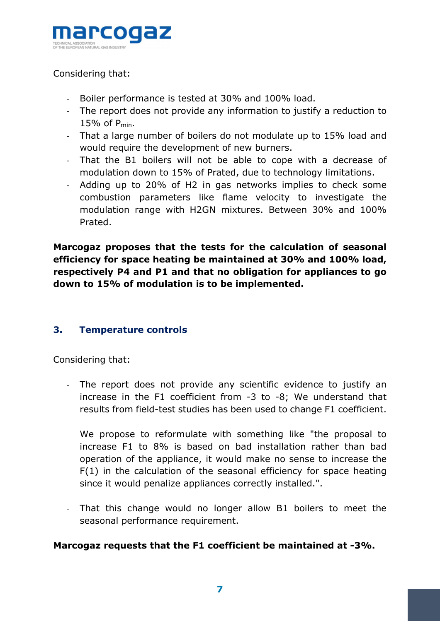

#### Considering that:

- Boiler performance is tested at 30% and 100% load.
- The report does not provide any information to justify a reduction to 15% of Pmin.
- That a large number of boilers do not modulate up to 15% load and would require the development of new burners.
- That the B1 boilers will not be able to cope with a decrease of modulation down to 15% of Prated, due to technology limitations.
- Adding up to 20% of H2 in gas networks implies to check some combustion parameters like flame velocity to investigate the modulation range with H2GN mixtures. Between 30% and 100% Prated.

Marcogaz proposes that the tests for the calculation of seasonal efficiency for space heating be maintained at 30% and 100% load, respectively P4 and P1 and that no obligation for appliances to go down to 15% of modulation is to be implemented.

#### 3. Temperature controls

Considering that:

- The report does not provide any scientific evidence to justify an increase in the F1 coefficient from -3 to -8; We understand that results from field-test studies has been used to change F1 coefficient.

We propose to reformulate with something like "the proposal to increase F1 to 8% is based on bad installation rather than bad operation of the appliance, it would make no sense to increase the F(1) in the calculation of the seasonal efficiency for space heating since it would penalize appliances correctly installed.".

- That this change would no longer allow B1 boilers to meet the seasonal performance requirement.

#### Marcogaz requests that the F1 coefficient be maintained at -3%.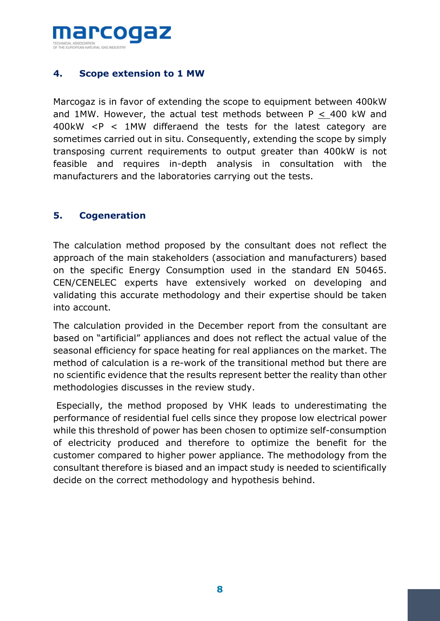

#### 4. Scope extension to 1 MW

Marcogaz is in favor of extending the scope to equipment between 400kW and 1MW. However, the actual test methods between  $P < 400$  kW and 400kW <P < 1MW differaend the tests for the latest category are sometimes carried out in situ. Consequently, extending the scope by simply transposing current requirements to output greater than 400kW is not feasible and requires in-depth analysis in consultation with the manufacturers and the laboratories carrying out the tests.

#### 5. Cogeneration

The calculation method proposed by the consultant does not reflect the approach of the main stakeholders (association and manufacturers) based on the specific Energy Consumption used in the standard EN 50465. CEN/CENELEC experts have extensively worked on developing and validating this accurate methodology and their expertise should be taken into account.

The calculation provided in the December report from the consultant are based on "artificial" appliances and does not reflect the actual value of the seasonal efficiency for space heating for real appliances on the market. The method of calculation is a re-work of the transitional method but there are no scientific evidence that the results represent better the reality than other methodologies discusses in the review study.

 Especially, the method proposed by VHK leads to underestimating the performance of residential fuel cells since they propose low electrical power while this threshold of power has been chosen to optimize self-consumption of electricity produced and therefore to optimize the benefit for the customer compared to higher power appliance. The methodology from the consultant therefore is biased and an impact study is needed to scientifically decide on the correct methodology and hypothesis behind.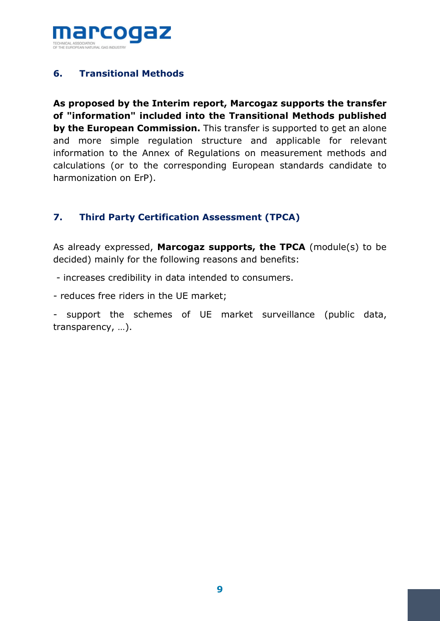

#### 6. Transitional Methods

As proposed by the Interim report, Marcogaz supports the transfer of "information" included into the Transitional Methods published by the European Commission. This transfer is supported to get an alone and more simple regulation structure and applicable for relevant information to the Annex of Regulations on measurement methods and calculations (or to the corresponding European standards candidate to harmonization on ErP).

#### 7. Third Party Certification Assessment (TPCA)

As already expressed, Marcogaz supports, the TPCA (module(s) to be decided) mainly for the following reasons and benefits:

- increases credibility in data intended to consumers.
- reduces free riders in the UE market;

- support the schemes of UE market surveillance (public data, transparency, …).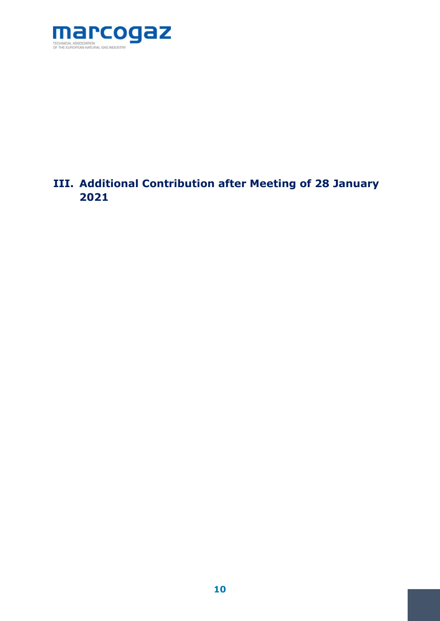

## III. Additional Contribution after Meeting of 28 January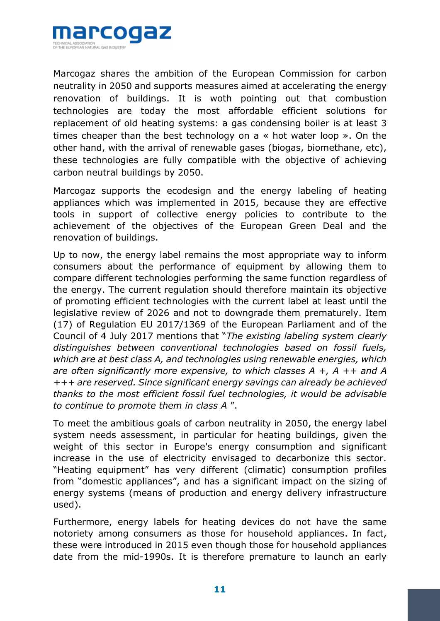

Marcogaz shares the ambition of the European Commission for carbon neutrality in 2050 and supports measures aimed at accelerating the energy renovation of buildings. It is woth pointing out that combustion technologies are today the most affordable efficient solutions for replacement of old heating systems: a gas condensing boiler is at least 3 times cheaper than the best technology on a « hot water loop ». On the other hand, with the arrival of renewable gases (biogas, biomethane, etc), these technologies are fully compatible with the objective of achieving carbon neutral buildings by 2050.

Marcogaz supports the ecodesign and the energy labeling of heating appliances which was implemented in 2015, because they are effective tools in support of collective energy policies to contribute to the achievement of the objectives of the European Green Deal and the renovation of buildings.

Up to now, the energy label remains the most appropriate way to inform consumers about the performance of equipment by allowing them to compare different technologies performing the same function regardless of the energy. The current regulation should therefore maintain its objective of promoting efficient technologies with the current label at least until the legislative review of 2026 and not to downgrade them prematurely. Item (17) of Regulation EU 2017/1369 of the European Parliament and of the Council of 4 July 2017 mentions that "The existing labeling system clearly distinguishes between conventional technologies based on fossil fuels, which are at best class A, and technologies using renewable energies, which are often significantly more expensive, to which classes  $A + A + A$  and  $A$ +++ are reserved. Since significant energy savings can already be achieved thanks to the most efficient fossil fuel technologies, it would be advisable to continue to promote them in class A ".

To meet the ambitious goals of carbon neutrality in 2050, the energy label system needs assessment, in particular for heating buildings, given the weight of this sector in Europe's energy consumption and significant increase in the use of electricity envisaged to decarbonize this sector. "Heating equipment" has very different (climatic) consumption profiles from "domestic appliances", and has a significant impact on the sizing of energy systems (means of production and energy delivery infrastructure used).

Furthermore, energy labels for heating devices do not have the same notoriety among consumers as those for household appliances. In fact, these were introduced in 2015 even though those for household appliances date from the mid-1990s. It is therefore premature to launch an early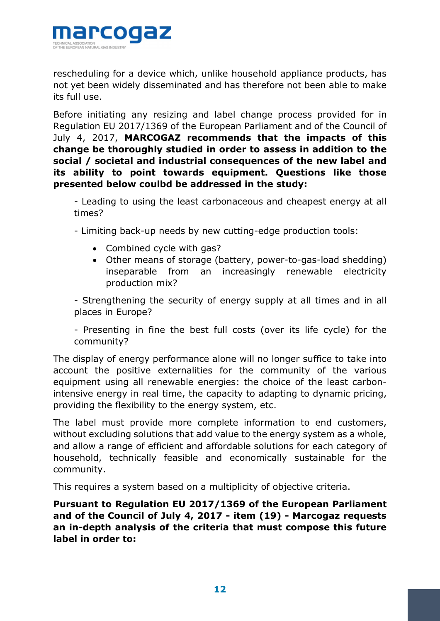

rescheduling for a device which, unlike household appliance products, has not yet been widely disseminated and has therefore not been able to make its full use.

Before initiating any resizing and label change process provided for in Regulation EU 2017/1369 of the European Parliament and of the Council of July 4, 2017, MARCOGAZ recommends that the impacts of this change be thoroughly studied in order to assess in addition to the social / societal and industrial consequences of the new label and its ability to point towards equipment. Questions like those presented below coulbd be addressed in the study:

- Leading to using the least carbonaceous and cheapest energy at all times?

- Limiting back-up needs by new cutting-edge production tools:

- Combined cycle with gas?
- Other means of storage (battery, power-to-gas-load shedding) inseparable from an increasingly renewable electricity production mix?

- Strengthening the security of energy supply at all times and in all places in Europe?

- Presenting in fine the best full costs (over its life cycle) for the community?

The display of energy performance alone will no longer suffice to take into account the positive externalities for the community of the various equipment using all renewable energies: the choice of the least carbonintensive energy in real time, the capacity to adapting to dynamic pricing, providing the flexibility to the energy system, etc.

The label must provide more complete information to end customers, without excluding solutions that add value to the energy system as a whole, and allow a range of efficient and affordable solutions for each category of household, technically feasible and economically sustainable for the community.

This requires a system based on a multiplicity of objective criteria.

Pursuant to Regulation EU 2017/1369 of the European Parliament and of the Council of July 4, 2017 - item (19) - Marcogaz requests an in-depth analysis of the criteria that must compose this future label in order to: